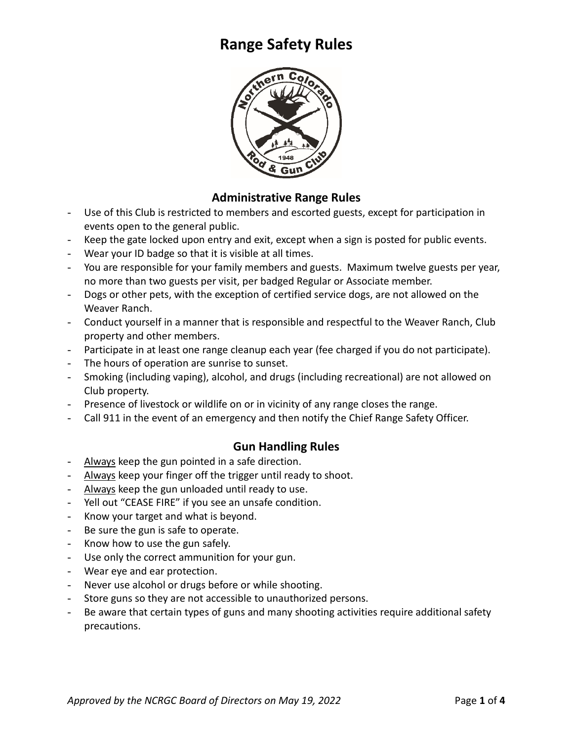

#### **Administrative Range Rules**

- Use of this Club is restricted to members and escorted guests, except for participation in events open to the general public.
- Keep the gate locked upon entry and exit, except when a sign is posted for public events.
- Wear your ID badge so that it is visible at all times.
- You are responsible for your family members and guests. Maximum twelve guests per year, no more than two guests per visit, per badged Regular or Associate member.
- Dogs or other pets, with the exception of certified service dogs, are not allowed on the Weaver Ranch.
- Conduct yourself in a manner that is responsible and respectful to the Weaver Ranch, Club property and other members.
- Participate in at least one range cleanup each year (fee charged if you do not participate).
- The hours of operation are sunrise to sunset.
- Smoking (including vaping), alcohol, and drugs (including recreational) are not allowed on Club property.
- Presence of livestock or wildlife on or in vicinity of any range closes the range.
- Call 911 in the event of an emergency and then notify the Chief Range Safety Officer.

### **Gun Handling Rules**

- Always keep the gun pointed in a safe direction.
- Always keep your finger off the trigger until ready to shoot.
- Always keep the gun unloaded until ready to use.
- Yell out "CEASE FIRE" if you see an unsafe condition.
- Know your target and what is beyond.
- Be sure the gun is safe to operate.
- Know how to use the gun safely.
- Use only the correct ammunition for your gun.
- Wear eye and ear protection.
- Never use alcohol or drugs before or while shooting.
- Store guns so they are not accessible to unauthorized persons.
- Be aware that certain types of guns and many shooting activities require additional safety precautions.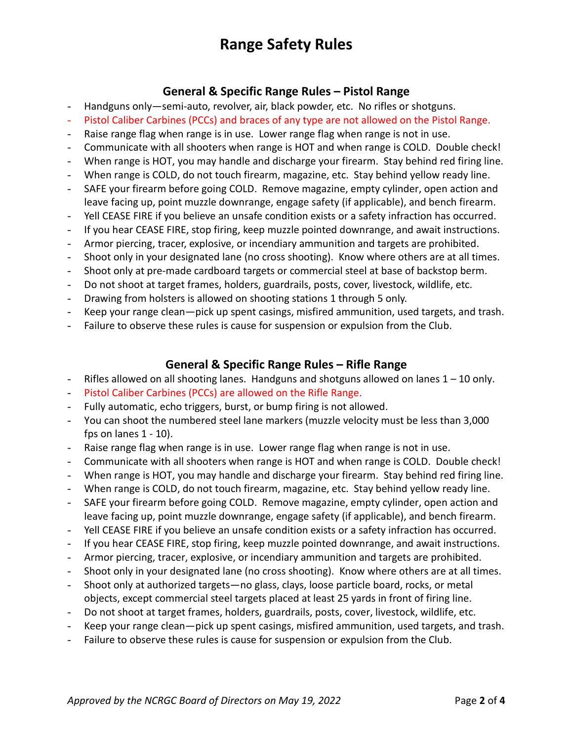### **General & Specific Range Rules – Pistol Range**

- Handguns only—semi-auto, revolver, air, black powder, etc. No rifles or shotguns.
- Pistol Caliber Carbines (PCCs) and braces of any type are not allowed on the Pistol Range.
- Raise range flag when range is in use. Lower range flag when range is not in use.
- Communicate with all shooters when range is HOT and when range is COLD. Double check!
- When range is HOT, you may handle and discharge your firearm. Stay behind red firing line.
- When range is COLD, do not touch firearm, magazine, etc. Stay behind yellow ready line.
- SAFE your firearm before going COLD. Remove magazine, empty cylinder, open action and leave facing up, point muzzle downrange, engage safety (if applicable), and bench firearm.
- Yell CEASE FIRE if you believe an unsafe condition exists or a safety infraction has occurred.
- If you hear CEASE FIRE, stop firing, keep muzzle pointed downrange, and await instructions.
- Armor piercing, tracer, explosive, or incendiary ammunition and targets are prohibited.
- Shoot only in your designated lane (no cross shooting). Know where others are at all times.
- Shoot only at pre-made cardboard targets or commercial steel at base of backstop berm.
- Do not shoot at target frames, holders, guardrails, posts, cover, livestock, wildlife, etc.
- Drawing from holsters is allowed on shooting stations 1 through 5 only.
- Keep your range clean—pick up spent casings, misfired ammunition, used targets, and trash.
- Failure to observe these rules is cause for suspension or expulsion from the Club.

### **General & Specific Range Rules – Rifle Range**

- Rifles allowed on all shooting lanes. Handguns and shotguns allowed on lanes  $1 10$  only.
- Pistol Caliber Carbines (PCCs) are allowed on the Rifle Range.
- Fully automatic, echo triggers, burst, or bump firing is not allowed.
- You can shoot the numbered steel lane markers (muzzle velocity must be less than 3,000 fps on lanes 1 - 10).
- Raise range flag when range is in use. Lower range flag when range is not in use.
- Communicate with all shooters when range is HOT and when range is COLD. Double check!
- When range is HOT, you may handle and discharge your firearm. Stay behind red firing line.
- When range is COLD, do not touch firearm, magazine, etc. Stay behind yellow ready line.
- SAFE your firearm before going COLD. Remove magazine, empty cylinder, open action and leave facing up, point muzzle downrange, engage safety (if applicable), and bench firearm.
- Yell CEASE FIRE if you believe an unsafe condition exists or a safety infraction has occurred.
- If you hear CEASE FIRE, stop firing, keep muzzle pointed downrange, and await instructions.
- Armor piercing, tracer, explosive, or incendiary ammunition and targets are prohibited.
- Shoot only in your designated lane (no cross shooting). Know where others are at all times.
- Shoot only at authorized targets—no glass, clays, loose particle board, rocks, or metal objects, except commercial steel targets placed at least 25 yards in front of firing line.
- Do not shoot at target frames, holders, guardrails, posts, cover, livestock, wildlife, etc.
- Keep your range clean—pick up spent casings, misfired ammunition, used targets, and trash.
- Failure to observe these rules is cause for suspension or expulsion from the Club.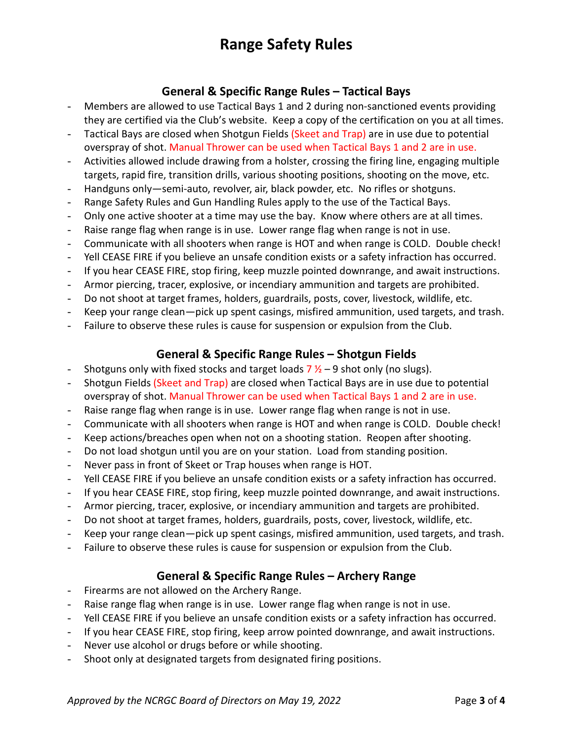### **General & Specific Range Rules – Tactical Bays**

- Members are allowed to use Tactical Bays 1 and 2 during non-sanctioned events providing they are certified via the Club's website. Keep a copy of the certification on you at all times.
- Tactical Bays are closed when Shotgun Fields (Skeet and Trap) are in use due to potential overspray of shot. Manual Thrower can be used when Tactical Bays 1 and 2 are in use.
- Activities allowed include drawing from a holster, crossing the firing line, engaging multiple targets, rapid fire, transition drills, various shooting positions, shooting on the move, etc.
- Handguns only—semi-auto, revolver, air, black powder, etc. No rifles or shotguns.
- Range Safety Rules and Gun Handling Rules apply to the use of the Tactical Bays.
- Only one active shooter at a time may use the bay. Know where others are at all times.
- Raise range flag when range is in use. Lower range flag when range is not in use.
- Communicate with all shooters when range is HOT and when range is COLD. Double check!
- Yell CEASE FIRE if you believe an unsafe condition exists or a safety infraction has occurred.
- If you hear CEASE FIRE, stop firing, keep muzzle pointed downrange, and await instructions.
- Armor piercing, tracer, explosive, or incendiary ammunition and targets are prohibited.
- Do not shoot at target frames, holders, guardrails, posts, cover, livestock, wildlife, etc.
- Keep your range clean—pick up spent casings, misfired ammunition, used targets, and trash.
- Failure to observe these rules is cause for suspension or expulsion from the Club.

### **General & Specific Range Rules – Shotgun Fields**

- Shotguns only with fixed stocks and target loads  $7\frac{1}{2} 9$  shot only (no slugs).
- Shotgun Fields (Skeet and Trap) are closed when Tactical Bays are in use due to potential overspray of shot. Manual Thrower can be used when Tactical Bays 1 and 2 are in use.
- Raise range flag when range is in use. Lower range flag when range is not in use.
- Communicate with all shooters when range is HOT and when range is COLD. Double check!
- Keep actions/breaches open when not on a shooting station. Reopen after shooting.
- Do not load shotgun until you are on your station. Load from standing position.
- Never pass in front of Skeet or Trap houses when range is HOT.
- Yell CEASE FIRE if you believe an unsafe condition exists or a safety infraction has occurred.
- If you hear CEASE FIRE, stop firing, keep muzzle pointed downrange, and await instructions.
- Armor piercing, tracer, explosive, or incendiary ammunition and targets are prohibited.
- Do not shoot at target frames, holders, guardrails, posts, cover, livestock, wildlife, etc.
- Keep your range clean—pick up spent casings, misfired ammunition, used targets, and trash.
- Failure to observe these rules is cause for suspension or expulsion from the Club.

### **General & Specific Range Rules – Archery Range**

- Firearms are not allowed on the Archery Range.
- Raise range flag when range is in use. Lower range flag when range is not in use.
- Yell CEASE FIRE if you believe an unsafe condition exists or a safety infraction has occurred.
- If you hear CEASE FIRE, stop firing, keep arrow pointed downrange, and await instructions.
- Never use alcohol or drugs before or while shooting.
- Shoot only at designated targets from designated firing positions.